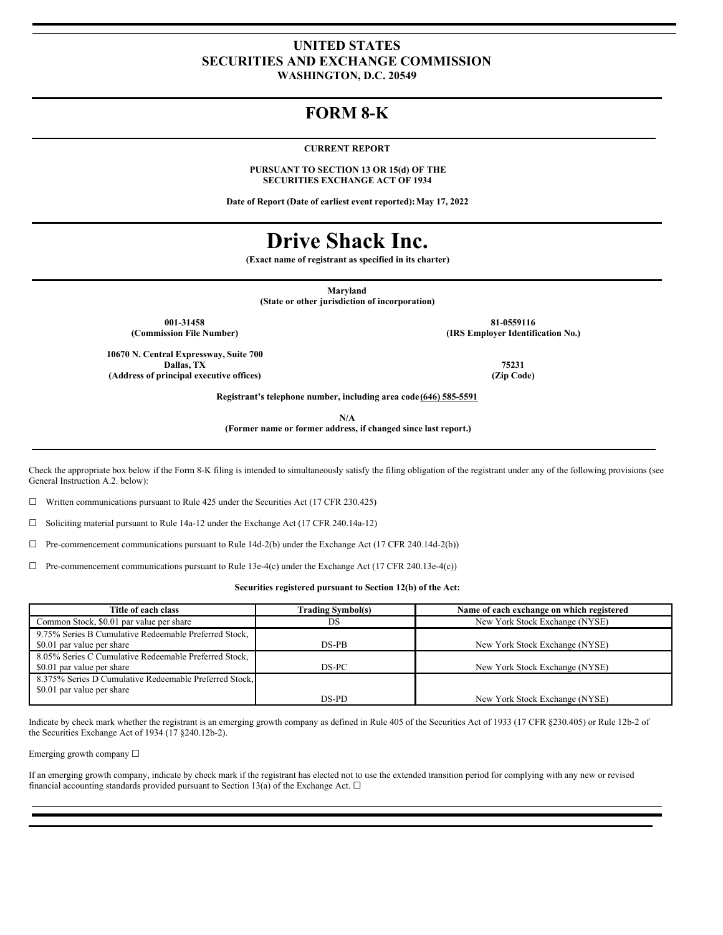### **UNITED STATES SECURITIES AND EXCHANGE COMMISSION WASHINGTON, D.C. 20549**

## **FORM 8-K**

**CURRENT REPORT**

**PURSUANT TO SECTION 13 OR 15(d) OF THE SECURITIES EXCHANGE ACT OF 1934**

**Date of Report (Date of earliest event reported):May 17, 2022**

# **Drive Shack Inc.**

**(Exact name of registrant as specified in its charter)**

**Maryland**

**(State or other jurisdiction of incorporation)**

**001-31458 81-0559116 (Commission File Number) (IRS Employer Identification No.)**

**10670 N. Central Expressway, Suite 700 Dallas, TX 75231 (Address of principal executive offices) (Zip Code)**

**Registrant's telephone number, including area code (646) 585-5591**

**N/A**

**(Former name or former address, if changed since last report.)**

Check the appropriate box below if the Form 8-K filing is intended to simultaneously satisfy the filing obligation of the registrant under any of the following provisions (see General Instruction A.2. below):

 $\Box$  Written communications pursuant to Rule 425 under the Securities Act (17 CFR 230.425)

☐ Soliciting material pursuant to Rule 14a-12 under the Exchange Act (17 CFR 240.14a-12)

 $\Box$  Pre-commencement communications pursuant to Rule 14d-2(b) under the Exchange Act (17 CFR 240.14d-2(b))

 $\Box$  Pre-commencement communications pursuant to Rule 13e-4(c) under the Exchange Act (17 CFR 240.13e-4(c))

**Securities registered pursuant to Section 12(b) of the Act:**

| Title of each class                                    | <b>Trading Symbol(s)</b> | Name of each exchange on which registered |
|--------------------------------------------------------|--------------------------|-------------------------------------------|
| Common Stock, \$0.01 par value per share               | DS                       | New York Stock Exchange (NYSE)            |
| 9.75% Series B Cumulative Redeemable Preferred Stock,  |                          |                                           |
| \$0.01 par value per share                             | DS-PB                    | New York Stock Exchange (NYSE)            |
| 8.05% Series C Cumulative Redeemable Preferred Stock,  |                          |                                           |
| \$0.01 par value per share                             | DS-PC                    | New York Stock Exchange (NYSE)            |
| 8.375% Series D Cumulative Redeemable Preferred Stock, |                          |                                           |
| \$0.01 par value per share                             |                          |                                           |
|                                                        | DS-PD                    | New York Stock Exchange (NYSE)            |

Indicate by check mark whether the registrant is an emerging growth company as defined in Rule 405 of the Securities Act of 1933 (17 CFR §230.405) or Rule 12b-2 of the Securities Exchange Act of 1934 (17 §240.12b-2).

Emerging growth company ☐

If an emerging growth company, indicate by check mark if the registrant has elected not to use the extended transition period for complying with any new or revised financial accounting standards provided pursuant to Section 13(a) of the Exchange Act.  $\Box$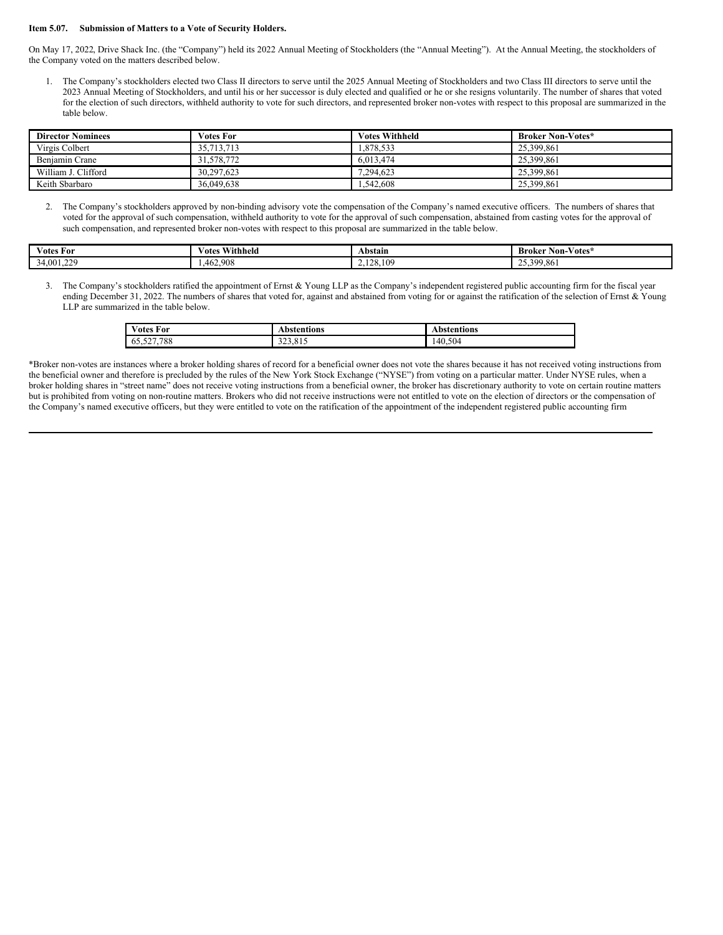#### **Item 5.07. Submission of Matters to a Vote of Security Holders.**

On May 17, 2022, Drive Shack Inc. (the "Company") held its 2022 Annual Meeting of Stockholders (the "Annual Meeting"). At the Annual Meeting, the stockholders of the Company voted on the matters described below.

1. The Company's stockholders elected two Class II directors to serve until the 2025 Annual Meeting of Stockholders and two Class III directors to serve until the 2023 Annual Meeting of Stockholders, and until his or her successor is duly elected and qualified or he or she resigns voluntarily. The number of shares that voted for the election of such directors, withheld authority to vote for such directors, and represented broker non-votes with respect to this proposal are summarized in the table below.

| <b>Director Nominees</b> | <b>Votes For</b> | <b>Votes Withheld</b> | <b>Broker Non-Votes*</b> |
|--------------------------|------------------|-----------------------|--------------------------|
| Virgis Colbert           | 35,713,713       | .878.533              | 25,399,861               |
| Benjamin Crane           | 31,578,772       | 6.013.474             | 25,399,861               |
| William J. Clifford      | 30.297.623       | 7.294.623             | 25,399,861               |
| Keith Sbarbaro           | 36,049,638       | .542.608              | 25,399,861               |

2. The Company's stockholders approved by non-binding advisory vote the compensation of the Company's named executive officers. The numbers of shares that voted for the approval of such compensation, withheld authority to vote for the approval of such compensation, abstained from casting votes for the approval of such compensation, and represented broker non-votes with respect to this proposal are summarized in the table below.

| $-$<br>$\sim$<br>∕otes<br>For | Withheld<br>∨otes | Abstain  | $\mathbf{r}$<br>$ -$<br>Broker<br>∕otes'<br>Non- |
|-------------------------------|-------------------|----------|--------------------------------------------------|
| 4,001,229                     | .462.908          | .128.109 | 25,399,861<br>ر د د ت                            |

3. The Company's stockholders ratified the appointment of Ernst & Young LLP as the Company's independent registered public accounting firm for the fiscal year ending December 31, 2022. The numbers of shares that voted for, against and abstained from voting for or against the ratification of the selection of Ernst & Young LLP are summarized in the table below.

| $\sim$ $\sim$<br>Ð<br>√otes For | Abstentions           | Abstentions |
|---------------------------------|-----------------------|-------------|
| 65,527,788                      | 015<br>222<br>222.012 | 140.504     |

\*Broker non-votes are instances where a broker holding shares of record for a beneficial owner does not vote the shares because it has not received voting instructions from the beneficial owner and therefore is precluded by the rules of the New York Stock Exchange ("NYSE") from voting on a particular matter. Under NYSE rules, when a broker holding shares in "street name" does not receive voting instructions from a beneficial owner, the broker has discretionary authority to vote on certain routine matters but is prohibited from voting on non-routine matters. Brokers who did not receive instructions were not entitled to vote on the election of directors or the compensation of the Company's named executive officers, but they were entitled to vote on the ratification of the appointment of the independent registered public accounting firm